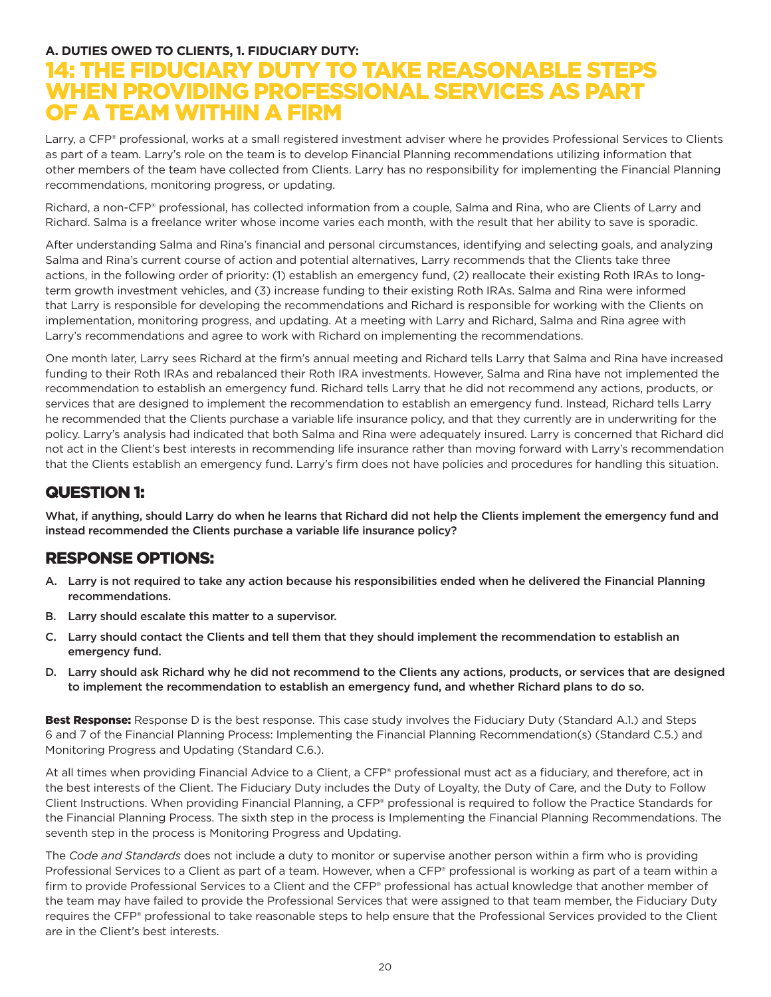#### **A. DUTIES OWED TO CLIENTS, 1. FIDUCIARY DUTY:**

# 14: THE FIDUCIARY DUTY TO TAKE REASONABLE STEPS WHEN PROVIDING PROFESSIONAL SERVICES AS PART OF A TEAM WITHIN A FIRM

Larry, a CFP® professional, works at a small registered investment adviser where he provides Professional Services to Clients as part of a team. Larry's role on the team is to develop Financial Planning recommendations utilizing information that other members of the team have collected from Clients. Larry has no responsibility for implementing the Financial Planning recommendations, monitoring progress, or updating.

Richard, a non-CFP® professional, has collected information from a couple, Salma and Rina, who are Clients of Larry and Richard. Salma is a freelance writer whose income varies each month, with the result that her ability to save is sporadic.

After understanding Salma and Rina's financial and personal circumstances, identifying and selecting goals, and analyzing Salma and Rina's current course of action and potential alternatives, Larry recommends that the Clients take three actions, in the following order of priority: (1) establish an emergency fund, (2) reallocate their existing Roth IRAs to longterm growth investment vehicles, and (3) increase funding to their existing Roth IRAs. Salma and Rina were informed that Larry is responsible for developing the recommendations and Richard is responsible for working with the Clients on implementation, monitoring progress, and updating. At a meeting with Larry and Richard, Salma and Rina agree with Larry's recommendations and agree to work with Richard on implementing the recommendations.

One month later, Larry sees Richard at the firm's annual meeting and Richard tells Larry that Salma and Rina have increased funding to their Roth IRAs and rebalanced their Roth IRA investments. However, Salma and Rina have not implemented the recommendation to establish an emergency fund. Richard tells Larry that he did not recommend any actions, products, or services that are designed to implement the recommendation to establish an emergency fund. Instead, Richard tells Larry he recommended that the Clients purchase a variable life insurance policy, and that they currently are in underwriting for the policy. Larry's analysis had indicated that both Salma and Rina were adequately insured. Larry is concerned that Richard did not act in the Client's best interests in recommending life insurance rather than moving forward with Larry's recommendation that the Clients establish an emergency fund. Larry's firm does not have policies and procedures for handling this situation.

## QUESTION 1:

What, if anything, should Larry do when he learns that Richard did not help the Clients implement the emergency fund and instead recommended the Clients purchase a variable life insurance policy?

### RESPONSE OPTIONS:

- A. Larry is not required to take any action because his responsibilities ended when he delivered the Financial Planning recommendations.
- B. Larry should escalate this matter to a supervisor.
- C. Larry should contact the Clients and tell them that they should implement the recommendation to establish an emergency fund.
- D. Larry should ask Richard why he did not recommend to the Clients any actions, products, or services that are designed to implement the recommendation to establish an emergency fund, and whether Richard plans to do so.

Best Response: Response D is the best response. This case study involves the Fiduciary Duty (Standard A.1.) and Steps 6 and 7 of the Financial Planning Process: Implementing the Financial Planning Recommendation(s) (Standard C.5.) and Monitoring Progress and Updating (Standard C.6.).

At all times when providing Financial Advice to a Client, a CFP® professional must act as a fiduciary, and therefore, act in the best interests of the Client. The Fiduciary Duty includes the Duty of Loyalty, the Duty of Care, and the Duty to Follow Client Instructions. When providing Financial Planning, a CFP® professional is required to follow the Practice Standards for the Financial Planning Process. The sixth step in the process is Implementing the Financial Planning Recommendations. The seventh step in the process is Monitoring Progress and Updating.

The *Code and Standards* does not include a duty to monitor or supervise another person within a firm who is providing Professional Services to a Client as part of a team. However, when a CFP® professional is working as part of a team within a firm to provide Professional Services to a Client and the CFP® professional has actual knowledge that another member of the team may have failed to provide the Professional Services that were assigned to that team member, the Fiduciary Duty requires the CFP® professional to take reasonable steps to help ensure that the Professional Services provided to the Client are in the Client's best interests.